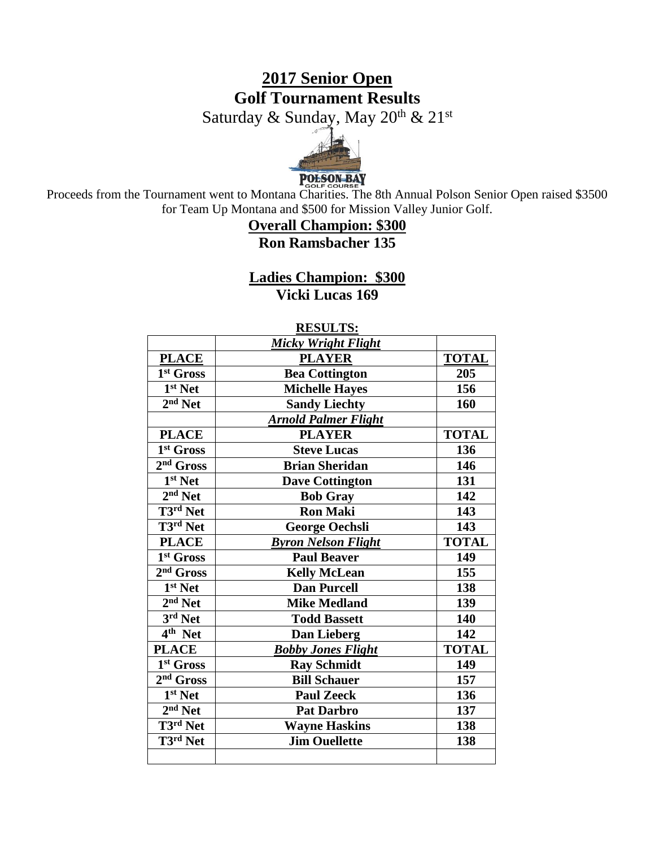# **2017 Senior Open Golf Tournament Results**

Saturday & Sunday, May 20<sup>th</sup> & 21<sup>st</sup>



Proceeds from the Tournament went to Montana Charities. The 8th Annual Polson Senior Open raised \$3500 for Team Up Montana and \$500 for Mission Valley Junior Golf.

## **Overall Champion: \$300 Ron Ramsbacher 135**

**Ladies Champion: \$300 Vicki Lucas 169**

|                       | <b>RESULTS:</b>             |              |
|-----------------------|-----------------------------|--------------|
|                       | <b>Micky Wright Flight</b>  |              |
| <b>PLACE</b>          | <b>PLAYER</b>               | <b>TOTAL</b> |
| 1st Gross             | <b>Bea Cottington</b>       | 205          |
| $1st$ Net             | <b>Michelle Hayes</b>       | 156          |
| $2nd$ Net             | <b>Sandy Liechty</b>        | 160          |
|                       | <b>Arnold Palmer Flight</b> |              |
| <b>PLACE</b>          | <b>PLAYER</b>               | <b>TOTAL</b> |
| 1 <sup>st</sup> Gross | <b>Steve Lucas</b>          | 136          |
| 2 <sup>nd</sup> Gross | <b>Brian Sheridan</b>       | 146          |
| 1 <sup>st</sup> Net   | <b>Dave Cottington</b>      | 131          |
| $2nd$ Net             | <b>Bob Gray</b>             | 142          |
| T3rd Net              | <b>Ron Maki</b>             | 143          |
| T3rd Net              | <b>George Oechsli</b>       | 143          |
| <b>PLACE</b>          | <b>Byron Nelson Flight</b>  | <b>TOTAL</b> |
| 1st Gross             | <b>Paul Beaver</b>          | 149          |
| 2 <sup>nd</sup> Gross | <b>Kelly McLean</b>         | 155          |
| 1 <sup>st</sup> Net   | <b>Dan Purcell</b>          | 138          |
| $2nd$ Net             | <b>Mike Medland</b>         | 139          |
| $3rd$ Net             | <b>Todd Bassett</b>         | 140          |
| $4th$ Net             | Dan Lieberg                 | 142          |
| <b>PLACE</b>          | <b>Bobby Jones Flight</b>   | <b>TOTAL</b> |
| 1 <sup>st</sup> Gross | <b>Ray Schmidt</b>          | 149          |
| $2nd$ Gross           | <b>Bill Schauer</b>         | 157          |
| 1 <sup>st</sup> Net   | <b>Paul Zeeck</b>           | 136          |
| $2nd$ Net             | <b>Pat Darbro</b>           | 137          |
| T3rd Net              | <b>Wayne Haskins</b>        | 138          |
| T3rd Net              | <b>Jim Ouellette</b>        | 138          |
|                       |                             |              |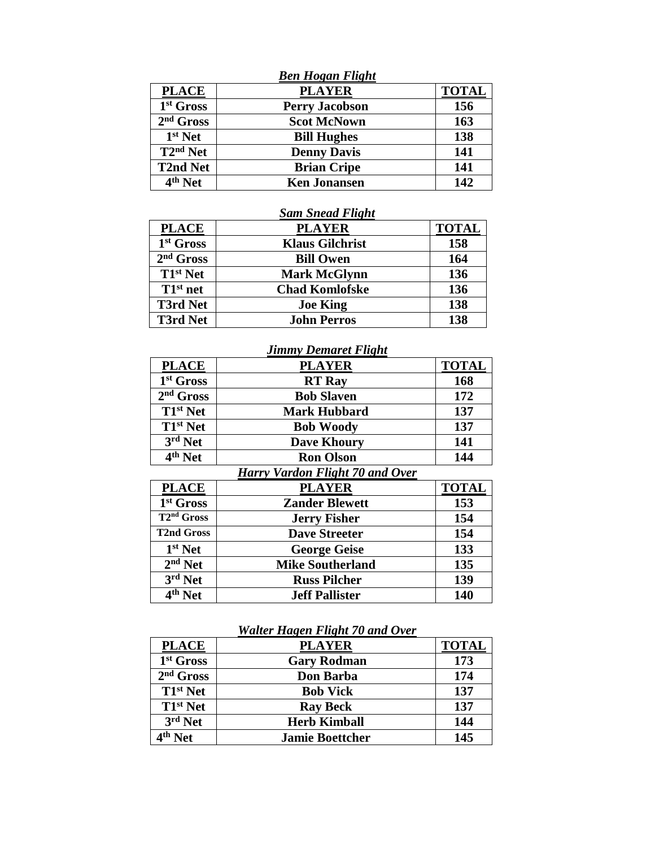|                                        | <b>Ben Hogan Flight</b> |              |
|----------------------------------------|-------------------------|--------------|
| <b>PLACE</b>                           | <b>PLAYER</b>           | <b>TOTAL</b> |
| 1 <sup>st</sup> Gross                  | <b>Perry Jacobson</b>   | 156          |
| $2nd$ Gross                            | <b>Scot McNown</b>      | 163          |
| $1st$ Net                              | <b>Bill Hughes</b>      | 138          |
| $\overline{\text{T2}}^{\text{nd}}$ Net | <b>Denny Davis</b>      | 141          |
| <b>T2nd Net</b>                        | <b>Brian Cripe</b>      | 141          |
| $4th$ Net                              | <b>Ken Jonansen</b>     | 142          |

### *Sam Snead Flight*

| <b>PLACE</b>          | <b>PLAYER</b>          | <b>TOTAL</b> |
|-----------------------|------------------------|--------------|
| 1 <sup>st</sup> Gross | <b>Klaus Gilchrist</b> | 158          |
| $2nd$ Gross           | <b>Bill Owen</b>       | 164          |
| $T1st$ Net            | <b>Mark McGlynn</b>    | 136          |
| $T1^{st}$ net         | <b>Chad Komlofske</b>  | 136          |
| <b>T3rd Net</b>       | <b>Joe King</b>        | 138          |
| <b>T3rd Net</b>       | <b>John Perros</b>     | 138          |

## *Jimmy Demaret Flight*

| <b>PLACE</b>          | <b>PLAYER</b>                                                          | <b>TOTAL</b> |
|-----------------------|------------------------------------------------------------------------|--------------|
| 1 <sup>st</sup> Gross | <b>RT</b> Ray                                                          | 168          |
| $2nd$ Gross           | <b>Bob Slaven</b>                                                      | 172          |
| T1 <sup>st</sup> Net  | <b>Mark Hubbard</b>                                                    | 137          |
| T1 <sup>st</sup> Net  | <b>Bob Woody</b>                                                       | 137          |
| $3rd$ Net             | <b>Dave Khoury</b>                                                     | 141          |
| 4 <sup>th</sup> Net   | <b>Ron Olson</b>                                                       | 144          |
|                       | T11.50<br>$\mathbf{r}$<br>$\mathbf{r}$<br>$\mathbf{r}$ .<br>$\sqrt{ }$ |              |

#### *Harry Vardon Flight 70 and Over*

| <b>PLACE</b>                      | <b>PLAYER</b>           | <b>TOTAL</b> |
|-----------------------------------|-------------------------|--------------|
| 1 <sup>st</sup> Gross             | <b>Zander Blewett</b>   | 153          |
| T <sub>2<sup>nd</sup> Gross</sub> | <b>Jerry Fisher</b>     | 154          |
| <b>T2nd Gross</b>                 | <b>Dave Streeter</b>    | 154          |
| $1st$ Net                         | <b>George Geise</b>     | 133          |
| $2nd$ Net                         | <b>Mike Southerland</b> | 135          |
| $3rd$ Net                         | <b>Russ Pilcher</b>     | 139          |
| 4 <sup>th</sup> Net               | <b>Jeff Pallister</b>   | 140          |

### *Walter Hagen Flight 70 and Over*

| <b>PLACE</b>        | <b>PLAYER</b>          | <b>TOTAL</b> |
|---------------------|------------------------|--------------|
| $1st$ Gross         | <b>Gary Rodman</b>     | 173          |
| $2nd$ Gross         | Don Barba              | 174          |
| $T1^{st}$ Net       | <b>Bob Vick</b>        | 137          |
| $T1^{st}$ Net       | <b>Ray Beck</b>        | 137          |
| 3rd Net             | <b>Herb Kimball</b>    | 144          |
| 4 <sup>th</sup> Net | <b>Jamie Boettcher</b> | 145          |